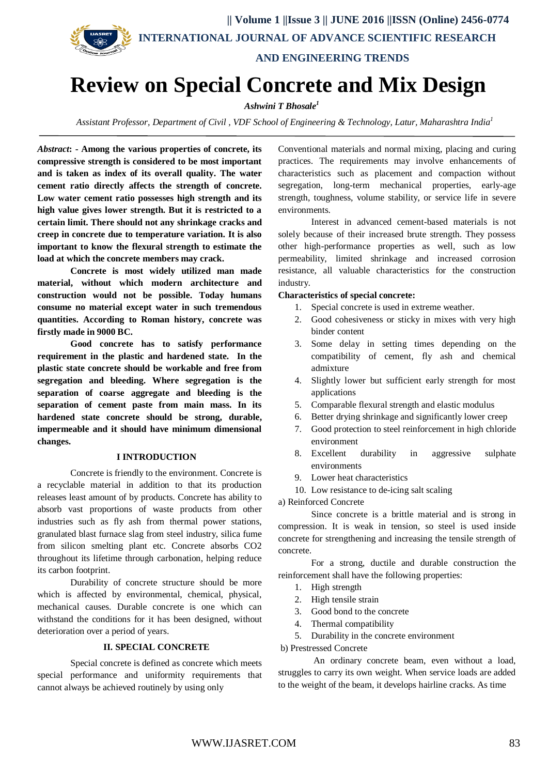

# **AND ENGINEERING TRENDS**

# **Review on Special Concrete and Mix Design**

# *Ashwini T Bhosale<sup>1</sup>*

*Assistant Professor, Department of Civil , VDF School of Engineering & Technology, Latur, Maharashtra India<sup>1</sup>*

*Abstract***: - Among the various properties of concrete, its compressive strength is considered to be most important and is taken as index of its overall quality. The water cement ratio directly affects the strength of concrete. Low water cement ratio possesses high strength and its high value gives lower strength. But it is restricted to a certain limit. There should not any shrinkage cracks and creep in concrete due to temperature variation. It is also important to know the flexural strength to estimate the load at which the concrete members may crack.**

**Concrete is most widely utilized man made material, without which modern architecture and construction would not be possible. Today humans consume no material except water in such tremendous quantities. According to Roman history, concrete was firstly made in 9000 BC.**

**Good concrete has to satisfy performance requirement in the plastic and hardened state. In the plastic state concrete should be workable and free from segregation and bleeding. Where segregation is the separation of coarse aggregate and bleeding is the separation of cement paste from main mass. In its hardened state concrete should be strong, durable, impermeable and it should have minimum dimensional changes.**

#### **I INTRODUCTION**

Concrete is friendly to the environment. Concrete is a recyclable material in addition to that its production releases least amount of by products. Concrete has ability to absorb vast proportions of waste products from other industries such as fly ash from thermal power stations, granulated blast furnace slag from steel industry, silica fume from silicon smelting plant etc. Concrete absorbs CO2 throughout its lifetime through carbonation, helping reduce its carbon footprint.

Durability of concrete structure should be more which is affected by environmental, chemical, physical, mechanical causes. Durable concrete is one which can withstand the conditions for it has been designed, without deterioration over a period of years.

#### **II. SPECIAL CONCRETE**

Special concrete is defined as concrete which meets special performance and uniformity requirements that cannot always be achieved routinely by using only

Conventional materials and normal mixing, placing and curing practices. The requirements may involve enhancements of characteristics such as placement and compaction without segregation, long-term mechanical properties, early-age strength, toughness, volume stability, or service life in severe environments.

Interest in advanced cement-based materials is not solely because of their increased brute strength. They possess other high-performance properties as well, such as low permeability, limited shrinkage and increased corrosion resistance, all valuable characteristics for the construction industry.

#### **Characteristics of special concrete:**

- 1. Special concrete is used in extreme weather.
- 2. Good cohesiveness or sticky in mixes with very high binder content
- 3. Some delay in setting times depending on the compatibility of cement, fly ash and chemical admixture
- 4. Slightly lower but sufficient early strength for most applications
- 5. Comparable flexural strength and elastic modulus
- 6. Better drying shrinkage and significantly lower creep
- 7. Good protection to steel reinforcement in high chloride environment
- 8. Excellent durability in aggressive sulphate environments
- 9. Lower heat characteristics
- 10. Low resistance to de-icing salt scaling

a) Reinforced Concrete

Since concrete is a brittle material and is strong in compression. It is weak in tension, so steel is used inside concrete for strengthening and increasing the tensile strength of concrete.

For a strong, ductile and durable construction the reinforcement shall have the following properties:

- 1. High strength
- 2. High tensile strain
- 3. Good bond to the concrete
- 4. Thermal compatibility
- 5. Durability in the concrete environment

b) Prestressed Concrete

 An ordinary concrete beam, even without a load, struggles to carry its own weight. When service loads are added to the weight of the beam, it develops hairline cracks. As time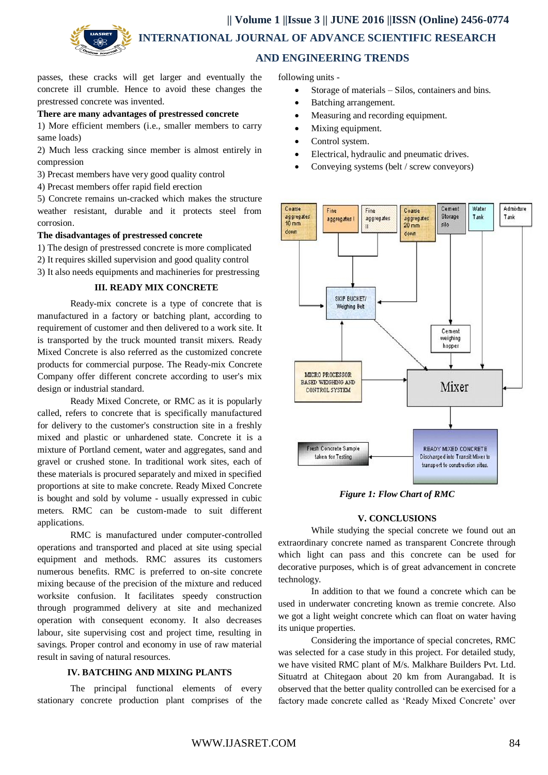**|| Volume 1 ||Issue 3 || JUNE 2016 ||ISSN (Online) 2456-0774 INTERNATIONAL JOURNAL OF ADVANCE SCIENTIFIC RESEARCH** 



# **AND ENGINEERING TRENDS**

passes, these cracks will get larger and eventually the concrete ill crumble. Hence to avoid these changes the prestressed concrete was invented.

#### **There are many advantages of prestressed concrete**

1) More efficient members (i.e., smaller members to carry same loads)

2) Much less cracking since member is almost entirely in compression

- 3) Precast members have very good quality control
- 4) Precast members offer rapid field erection

5) Concrete remains un-cracked which makes the structure weather resistant, durable and it protects steel from corrosion.

## **The disadvantages of prestressed concrete**

1) The design of prestressed concrete is more complicated

2) It requires skilled supervision and good quality control

3) It also needs equipments and machineries for prestressing

### **III. READY MIX CONCRETE**

Ready-mix concrete is a type of concrete that is manufactured in a factory or batching plant, according to requirement of customer and then delivered to a work site. It is transported by the truck mounted transit mixers. Ready Mixed Concrete is also referred as the customized concrete products for commercial purpose. The Ready-mix Concrete Company offer different concrete according to user's mix design or industrial standard.

Ready Mixed Concrete, or RMC as it is popularly called, refers to concrete that is specifically manufactured for delivery to the customer's construction site in a freshly mixed and plastic or unhardened state. Concrete it is a mixture of Portland cement, water and aggregates, sand and gravel or crushed stone. In traditional work sites, each of these materials is procured separately and mixed in specified proportions at site to make concrete. Ready Mixed Concrete is bought and sold by volume - usually expressed in cubic meters. RMC can be custom-made to suit different applications.

RMC is manufactured under computer-controlled operations and transported and placed at site using special equipment and methods. RMC assures its customers numerous benefits. RMC is preferred to on-site concrete mixing because of the precision of the mixture and reduced worksite confusion. It facilitates speedy construction through programmed delivery at site and mechanized operation with consequent economy. It also decreases labour, site supervising cost and project time, resulting in savings. Proper control and economy in use of raw material result in saving of natural resources.

## **IV. BATCHING AND MIXING PLANTS**

The principal functional elements of every stationary concrete production plant comprises of the following units -

- Storage of materials Silos, containers and bins.
- Batching arrangement.
- Measuring and recording equipment.
- Mixing equipment.
- Control system.
- Electrical, hydraulic and pneumatic drives.
- Conveying systems (belt / screw conveyors)



*Figure 1: Flow Chart of RMC*

#### **V. CONCLUSIONS**

While studying the special concrete we found out an extraordinary concrete named as transparent Concrete through which light can pass and this concrete can be used for decorative purposes, which is of great advancement in concrete technology.

In addition to that we found a concrete which can be used in underwater concreting known as tremie concrete. Also we got a light weight concrete which can float on water having its unique properties.

Considering the importance of special concretes, RMC was selected for a case study in this project. For detailed study, we have visited RMC plant of M/s. Malkhare Builders Pvt. Ltd. Situatrd at Chitegaon about 20 km from Aurangabad. It is observed that the better quality controlled can be exercised for a factory made concrete called as 'Ready Mixed Concrete' over